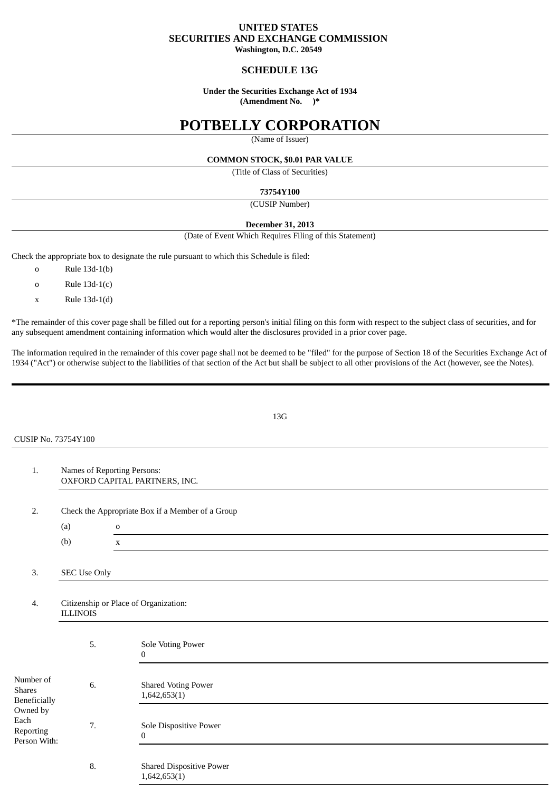## **UNITED STATES SECURITIES AND EXCHANGE COMMISSION**

**Washington, D.C. 20549**

## **SCHEDULE 13G**

## **Under the Securities Exchange Act of 1934**

**(Amendment No. )\***

# **POTBELLY CORPORATION**

(Name of Issuer)

### **COMMON STOCK, \$0.01 PAR VALUE**

(Title of Class of Securities)

#### **73754Y100**

(CUSIP Number)

## **December 31, 2013**

(Date of Event Which Requires Filing of this Statement)

Check the appropriate box to designate the rule pursuant to which this Schedule is filed:

- o Rule 13d-1(b)
- o Rule 13d-1(c)
- x Rule 13d-1(d)

\*The remainder of this cover page shall be filled out for a reporting person's initial filing on this form with respect to the subject class of securities, and for any subsequent amendment containing information which would alter the disclosures provided in a prior cover page.

The information required in the remainder of this cover page shall not be deemed to be "filed" for the purpose of Section 18 of the Securities Exchange Act of 1934 ("Act") or otherwise subject to the liabilities of that section of the Act but shall be subject to all other provisions of the Act (however, see the Notes).

13G

CUSIP No. 73754Y100

1. Names of Reporting Persons: OXFORD CAPITAL PARTNERS, INC. 2. Check the Appropriate Box if a Member of a Group (a) o (b) x 3. SEC Use Only

## 4. Citizenship or Place of Organization: ILLINOIS

|                                                                                      | 5. | Sole Voting Power<br>$\mathbf{0}$          |
|--------------------------------------------------------------------------------------|----|--------------------------------------------|
| Number of<br>Shares<br>Beneficially<br>Owned by<br>Each<br>Reporting<br>Person With: | 6. | <b>Shared Voting Power</b><br>1,642,653(1) |
|                                                                                      | 7. | Sole Dispositive Power<br>$\mathbf{0}$     |
|                                                                                      | 8. | <b>Shared Dispositive Power</b>            |

 $1,642,653(1)$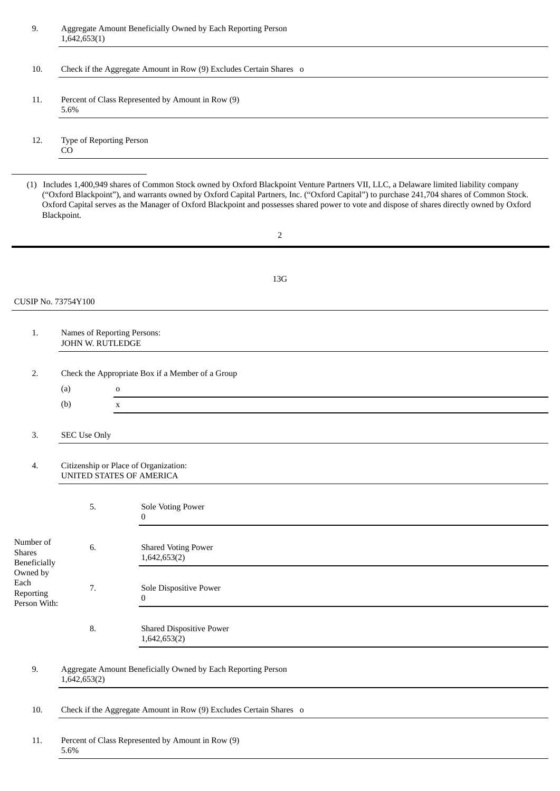| 9.                                                | Aggregate Amount Beneficially Owned by Each Reporting Person<br>1,642,653(1) |                                                                                                                                                                                                                                                                                                                                                                                                                                           |  |  |  |  |
|---------------------------------------------------|------------------------------------------------------------------------------|-------------------------------------------------------------------------------------------------------------------------------------------------------------------------------------------------------------------------------------------------------------------------------------------------------------------------------------------------------------------------------------------------------------------------------------------|--|--|--|--|
| 10.                                               | Check if the Aggregate Amount in Row (9) Excludes Certain Shares o           |                                                                                                                                                                                                                                                                                                                                                                                                                                           |  |  |  |  |
| 11.                                               | Percent of Class Represented by Amount in Row (9)<br>5.6%                    |                                                                                                                                                                                                                                                                                                                                                                                                                                           |  |  |  |  |
| 12.                                               | Type of Reporting Person<br>CO                                               |                                                                                                                                                                                                                                                                                                                                                                                                                                           |  |  |  |  |
|                                                   | Blackpoint.                                                                  | (1) Includes 1,400,949 shares of Common Stock owned by Oxford Blackpoint Venture Partners VII, LLC, a Delaware limited liability company<br>("Oxford Blackpoint"), and warrants owned by Oxford Capital Partners, Inc. ("Oxford Capital") to purchase 241,704 shares of Common Stock.<br>Oxford Capital serves as the Manager of Oxford Blackpoint and possesses shared power to vote and dispose of shares directly owned by Oxford<br>2 |  |  |  |  |
|                                                   |                                                                              |                                                                                                                                                                                                                                                                                                                                                                                                                                           |  |  |  |  |
|                                                   |                                                                              | 13G                                                                                                                                                                                                                                                                                                                                                                                                                                       |  |  |  |  |
| CUSIP No. 73754Y100                               |                                                                              |                                                                                                                                                                                                                                                                                                                                                                                                                                           |  |  |  |  |
| 1.                                                | Names of Reporting Persons:<br>JOHN W. RUTLEDGE                              |                                                                                                                                                                                                                                                                                                                                                                                                                                           |  |  |  |  |
| 2.                                                | (a)<br>(b)                                                                   | Check the Appropriate Box if a Member of a Group<br>0<br>$\mathbf x$                                                                                                                                                                                                                                                                                                                                                                      |  |  |  |  |
| 3.                                                | <b>SEC Use Only</b>                                                          |                                                                                                                                                                                                                                                                                                                                                                                                                                           |  |  |  |  |
| $\overline{4}$ .                                  | Citizenship or Place of Organization:<br>UNITED STATES OF AMERICA            |                                                                                                                                                                                                                                                                                                                                                                                                                                           |  |  |  |  |
|                                                   | 5.                                                                           | Sole Voting Power<br>0                                                                                                                                                                                                                                                                                                                                                                                                                    |  |  |  |  |
| Number of<br><b>Shares</b><br><b>Beneficially</b> | 6.                                                                           | <b>Shared Voting Power</b><br>1,642,653(2)                                                                                                                                                                                                                                                                                                                                                                                                |  |  |  |  |
| Owned by<br>Each<br>Reporting<br>Person With:     | 7.                                                                           | Sole Dispositive Power<br>$\bf{0}$<br><u> 1980 - Jan Samuel Barbara, martin da shekarar 1980 - An tsara tsara 1980 - An tsara tsara 1980 - An tsara 19</u>                                                                                                                                                                                                                                                                                |  |  |  |  |
|                                                   | 8.                                                                           | <b>Shared Dispositive Power</b><br>1,642,653(2)                                                                                                                                                                                                                                                                                                                                                                                           |  |  |  |  |
| 9.                                                | Aggregate Amount Beneficially Owned by Each Reporting Person<br>1,642,653(2) |                                                                                                                                                                                                                                                                                                                                                                                                                                           |  |  |  |  |
| 10.                                               | Check if the Aggregate Amount in Row (9) Excludes Certain Shares o           |                                                                                                                                                                                                                                                                                                                                                                                                                                           |  |  |  |  |
| 11.                                               |                                                                              | Percent of Class Represented by Amount in Row (9)                                                                                                                                                                                                                                                                                                                                                                                         |  |  |  |  |

5.6%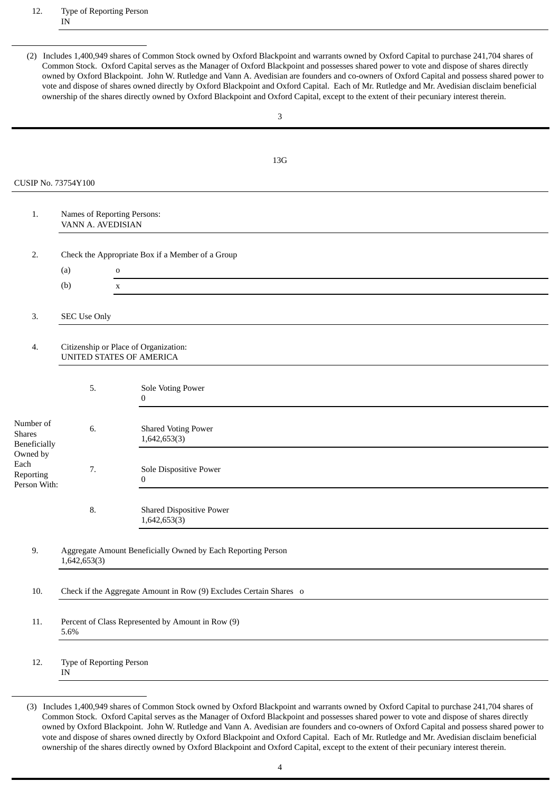(2) Includes 1,400,949 shares of Common Stock owned by Oxford Blackpoint and warrants owned by Oxford Capital to purchase 241,704 shares of Common Stock. Oxford Capital serves as the Manager of Oxford Blackpoint and possesses shared power to vote and dispose of shares directly owned by Oxford Blackpoint. John W. Rutledge and Vann A. Avedisian are founders and co-owners of Oxford Capital and possess shared power to vote and dispose of shares owned directly by Oxford Blackpoint and Oxford Capital. Each of Mr. Rutledge and Mr. Avedisian disclaim beneficial ownership of the shares directly owned by Oxford Blackpoint and Oxford Capital, except to the extent of their pecuniary interest therein.

|                                                        |                                                                              | 3                                               |  |  |  |
|--------------------------------------------------------|------------------------------------------------------------------------------|-------------------------------------------------|--|--|--|
|                                                        |                                                                              |                                                 |  |  |  |
|                                                        |                                                                              | 13G                                             |  |  |  |
| <b>CUSIP No. 73754Y100</b>                             |                                                                              |                                                 |  |  |  |
|                                                        |                                                                              |                                                 |  |  |  |
| 1.                                                     | Names of Reporting Persons:<br>VANN A. AVEDISIAN                             |                                                 |  |  |  |
| 2.                                                     | Check the Appropriate Box if a Member of a Group                             |                                                 |  |  |  |
|                                                        | (a)<br>$\mathbf 0$                                                           |                                                 |  |  |  |
|                                                        | (b)                                                                          | $\mathbf X$                                     |  |  |  |
| 3.                                                     | <b>SEC Use Only</b>                                                          |                                                 |  |  |  |
| 4.                                                     | Citizenship or Place of Organization:<br>UNITED STATES OF AMERICA            |                                                 |  |  |  |
|                                                        | 5.                                                                           | Sole Voting Power<br>$\boldsymbol{0}$           |  |  |  |
| Number of<br><b>Shares</b><br>Beneficially<br>Owned by | 6.                                                                           | <b>Shared Voting Power</b><br>1,642,653(3)      |  |  |  |
| Each<br>Reporting<br>Person With:                      | 7.                                                                           | Sole Dispositive Power<br>$\boldsymbol{0}$      |  |  |  |
|                                                        | 8.                                                                           | <b>Shared Dispositive Power</b><br>1,642,653(3) |  |  |  |
| 9.                                                     | Aggregate Amount Beneficially Owned by Each Reporting Person<br>1,642,653(3) |                                                 |  |  |  |
| 10.                                                    | Check if the Aggregate Amount in Row (9) Excludes Certain Shares o           |                                                 |  |  |  |
| 11.                                                    | Percent of Class Represented by Amount in Row (9)<br>5.6%                    |                                                 |  |  |  |
| 12.                                                    | Type of Reporting Person<br>IN                                               |                                                 |  |  |  |

<sup>(3)</sup> Includes 1,400,949 shares of Common Stock owned by Oxford Blackpoint and warrants owned by Oxford Capital to purchase 241,704 shares of Common Stock. Oxford Capital serves as the Manager of Oxford Blackpoint and possesses shared power to vote and dispose of shares directly owned by Oxford Blackpoint. John W. Rutledge and Vann A. Avedisian are founders and co-owners of Oxford Capital and possess shared power to vote and dispose of shares owned directly by Oxford Blackpoint and Oxford Capital. Each of Mr. Rutledge and Mr. Avedisian disclaim beneficial ownership of the shares directly owned by Oxford Blackpoint and Oxford Capital, except to the extent of their pecuniary interest therein.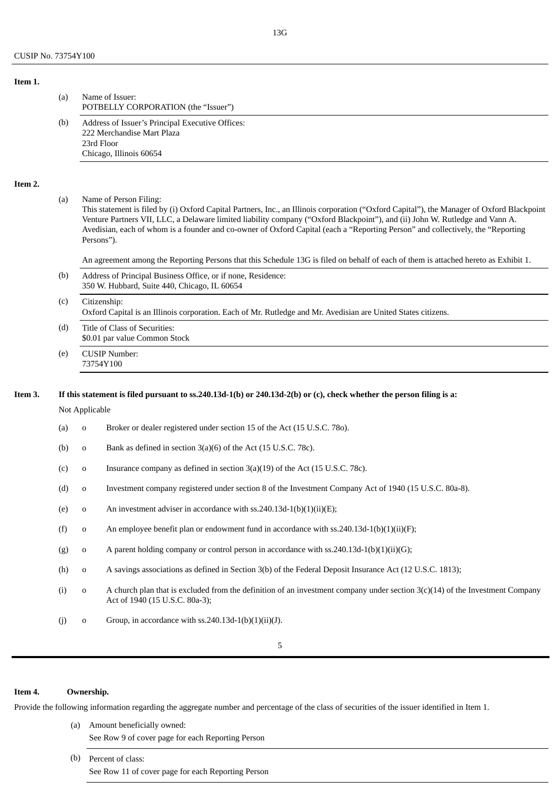| Item 1. |     |                                                                                                                         |
|---------|-----|-------------------------------------------------------------------------------------------------------------------------|
|         | (a) | Name of Issuer:<br>POTBELLY CORPORATION (the "Issuer")                                                                  |
|         | (b) | Address of Issuer's Principal Executive Offices:<br>222 Merchandise Mart Plaza<br>23rd Floor<br>Chicago, Illinois 60654 |

#### **Item 2.**

(a) Name of Person Filing:

This statement is filed by (i) Oxford Capital Partners, Inc., an Illinois corporation ("Oxford Capital"), the Manager of Oxford Blackpoint Venture Partners VII, LLC, a Delaware limited liability company ("Oxford Blackpoint"), and (ii) John W. Rutledge and Vann A. Avedisian, each of whom is a founder and co-owner of Oxford Capital (each a "Reporting Person" and collectively, the "Reporting Persons").

An agreement among the Reporting Persons that this Schedule 13G is filed on behalf of each of them is attached hereto as Exhibit 1.

- (b) Address of Principal Business Office, or if none, Residence: 350 W. Hubbard, Suite 440, Chicago, IL 60654
- (c) Citizenship: Oxford Capital is an Illinois corporation. Each of Mr. Rutledge and Mr. Avedisian are United States citizens.
- (d) Title of Class of Securities: \$0.01 par value Common Stock
- (e) CUSIP Number: 73754Y100

### Item 3. If this statement is filed pursuant to ss.240.13d-1(b) or 240.13d-2(b) or (c), check whether the person filing is a:

#### Not Applicable

- (a) o Broker or dealer registered under section 15 of the Act (15 U.S.C. 78o).
- (b) o Bank as defined in section 3(a)(6) of the Act (15 U.S.C. 78c).
- (c) o Insurance company as defined in section 3(a)(19) of the Act (15 U.S.C. 78c).
- (d) o Investment company registered under section 8 of the Investment Company Act of 1940 (15 U.S.C. 80a-8).
- (e) o An investment adviser in accordance with ss.  $240.13d 1(b)(1)(ii)(E)$ ;
- (f) o An employee benefit plan or endowment fund in accordance with ss.240.13d-1(b)(1)(ii)(F);
- (g) o A parent holding company or control person in accordance with ss.240.13d-1(b)(1)(ii)(G);
- (h) o A savings associations as defined in Section 3(b) of the Federal Deposit Insurance Act (12 U.S.C. 1813);
- (i) o A church plan that is excluded from the definition of an investment company under section  $3(c)(14)$  of the Investment Company Act of 1940 (15 U.S.C. 80a-3);
- (j) o Group, in accordance with ss.240.13d-1(b)(1)(ii)(J).

#### **Item 4. Ownership.**

Provide the following information regarding the aggregate number and percentage of the class of securities of the issuer identified in Item 1.

- (a) Amount beneficially owned: See Row 9 of cover page for each Reporting Person
- (b) Percent of class: See Row 11 of cover page for each Reporting Person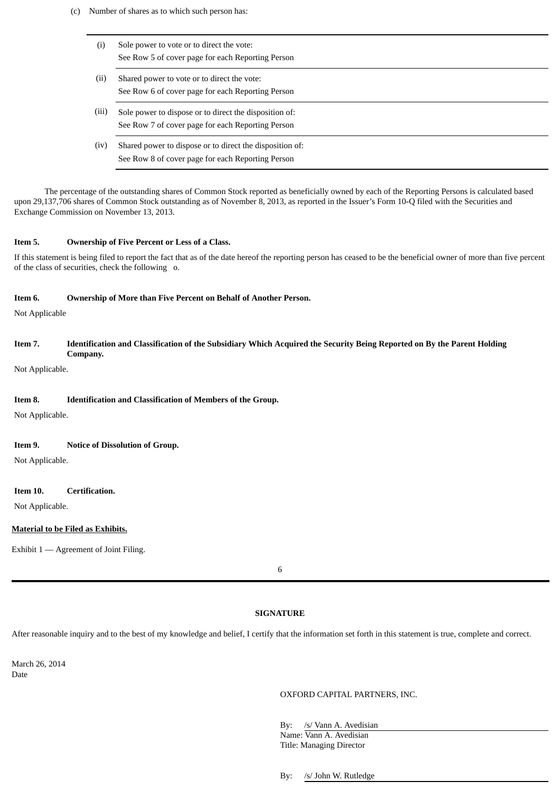- (c) Number of shares as to which such person has:
	- (i) Sole power to vote or to direct the vote: See Row 5 of cover page for each Reporting Person (ii) Shared power to vote or to direct the vote: See Row 6 of cover page for each Reporting Person (iii) Sole power to dispose or to direct the disposition of: See Row 7 of cover page for each Reporting Person
		- (iv) Shared power to dispose or to direct the disposition of: See Row 8 of cover page for each Reporting Person

The percentage of the outstanding shares of Common Stock reported as beneficially owned by each of the Reporting Persons is calculated based upon 29,137,706 shares of Common Stock outstanding as of November 8, 2013, as reported in the Issuer's Form 10-Q filed with the Securities and Exchange Commission on November 13, 2013.

#### **Item 5. Ownership of Five Percent or Less of a Class.**

If this statement is being filed to report the fact that as of the date hereof the reporting person has ceased to be the beneficial owner of more than five percent of the class of securities, check the following o.

#### **Item 6. Ownership of More than Five Percent on Behalf of Another Person.**

Not Applicable

## Item 7. Identification and Classification of the Subsidiary Which Acquired the Security Being Reported on By the Parent Holding **Company.**

Not Applicable.

#### **Item 8. Identification and Classification of Members of the Group.**

Not Applicable.

#### **Item 9. Notice of Dissolution of Group.**

Not Applicable.

#### **Item 10. Certification.**

Not Applicable.

#### **Material to be Filed as Exhibits.**

Exhibit 1 — Agreement of Joint Filing.

## **SIGNATURE**

After reasonable inquiry and to the best of my knowledge and belief, I certify that the information set forth in this statement is true, complete and correct.

March 26, 2014 Date

#### OXFORD CAPITAL PARTNERS, INC.

By: /s/ Vann A. Avedisian Name: Vann A. Avedisian Title: Managing Director

By: /s/ John W. Rutledge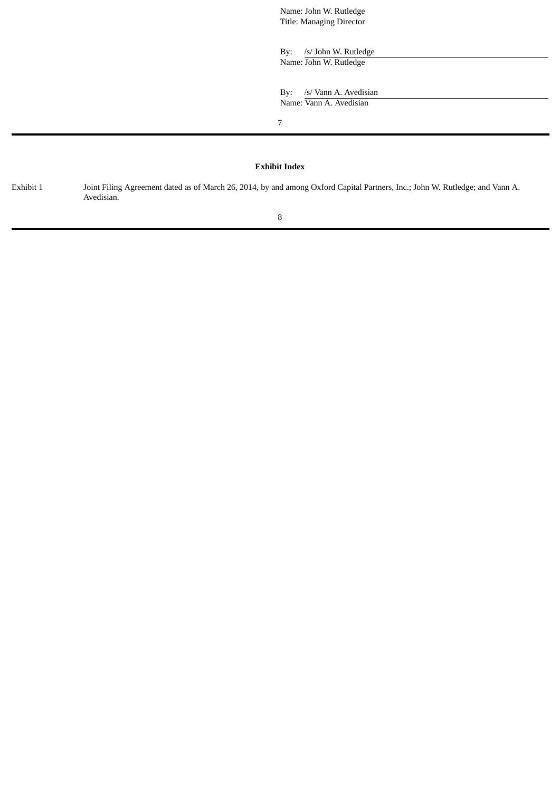Name: John W. Rutledge Title: Managing Director

By: /s/ John W. Rutledge Name: John W. Rutledge

By: /s/ Vann A. Avedisian Name: Vann A. Avedisian

7

## **Exhibit Index**

Exhibit 1 Joint Filing Agreement dated as of March 26, 2014, by and among Oxford Capital Partners, Inc.; John W. Rutledge; and Vann A. Avedisian.

8